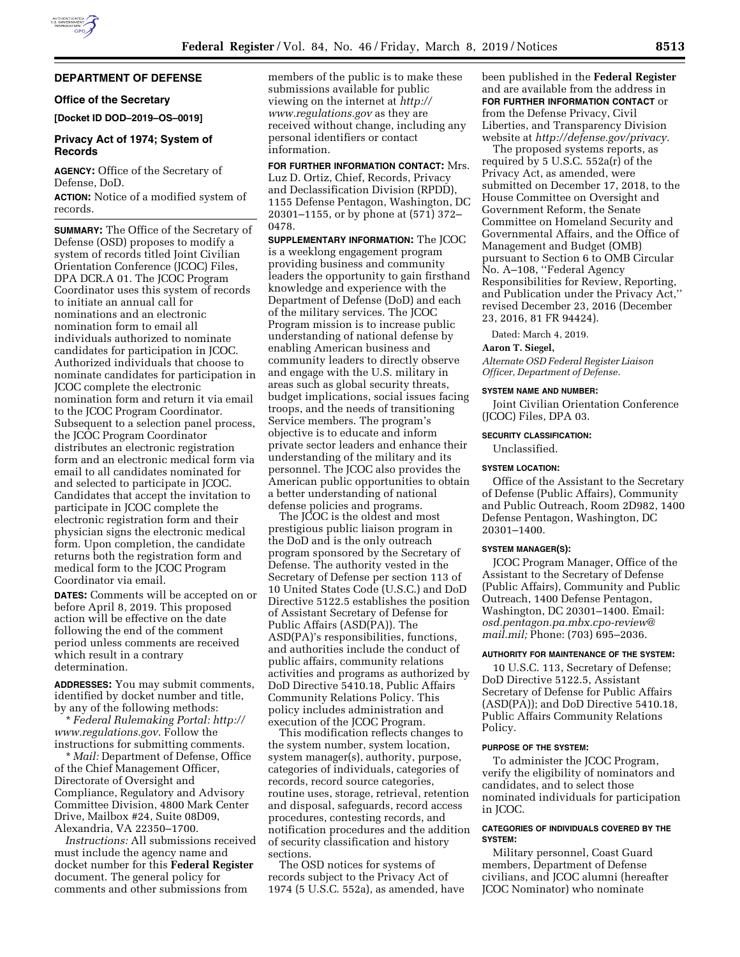# **DEPARTMENT OF DEFENSE**

## **Office of the Secretary**

**[Docket ID DOD–2019–OS–0019]** 

# **Privacy Act of 1974; System of Records**

**AGENCY:** Office of the Secretary of Defense, DoD.

**ACTION:** Notice of a modified system of records.

**SUMMARY:** The Office of the Secretary of Defense (OSD) proposes to modify a system of records titled Joint Civilian Orientation Conference (JCOC) Files, DPA DCR.A 01. The JCOC Program Coordinator uses this system of records to initiate an annual call for nominations and an electronic nomination form to email all individuals authorized to nominate candidates for participation in JCOC. Authorized individuals that choose to nominate candidates for participation in JCOC complete the electronic nomination form and return it via email to the JCOC Program Coordinator. Subsequent to a selection panel process, the JCOC Program Coordinator distributes an electronic registration form and an electronic medical form via email to all candidates nominated for and selected to participate in JCOC. Candidates that accept the invitation to participate in JCOC complete the electronic registration form and their physician signs the electronic medical form. Upon completion, the candidate returns both the registration form and medical form to the JCOC Program Coordinator via email.

**DATES:** Comments will be accepted on or before April 8, 2019. This proposed action will be effective on the date following the end of the comment period unless comments are received which result in a contrary determination.

**ADDRESSES:** You may submit comments, identified by docket number and title, by any of the following methods:

\* *Federal Rulemaking Portal: [http://](http://www.regulations.gov) [www.regulations.gov](http://www.regulations.gov)*. Follow the instructions for submitting comments.

\* *Mail:* Department of Defense, Office of the Chief Management Officer, Directorate of Oversight and Compliance, Regulatory and Advisory Committee Division, 4800 Mark Center Drive, Mailbox #24, Suite 08D09, Alexandria, VA 22350–1700.

*Instructions:* All submissions received must include the agency name and docket number for this **Federal Register**  document. The general policy for comments and other submissions from

members of the public is to make these submissions available for public viewing on the internet at *[http://](http://www.regulations.gov) [www.regulations.gov](http://www.regulations.gov)* as they are received without change, including any personal identifiers or contact information.

**FOR FURTHER INFORMATION CONTACT:** Mrs. Luz D. Ortiz, Chief, Records, Privacy and Declassification Division (RPDD), 1155 Defense Pentagon, Washington, DC 20301–1155, or by phone at (571) 372– 0478.

**SUPPLEMENTARY INFORMATION:** The JCOC is a weeklong engagement program providing business and community leaders the opportunity to gain firsthand knowledge and experience with the Department of Defense (DoD) and each of the military services. The JCOC Program mission is to increase public understanding of national defense by enabling American business and community leaders to directly observe and engage with the U.S. military in areas such as global security threats, budget implications, social issues facing troops, and the needs of transitioning Service members. The program's objective is to educate and inform private sector leaders and enhance their understanding of the military and its personnel. The JCOC also provides the American public opportunities to obtain a better understanding of national defense policies and programs.

The JCOC is the oldest and most prestigious public liaison program in the DoD and is the only outreach program sponsored by the Secretary of Defense. The authority vested in the Secretary of Defense per section 113 of 10 United States Code (U.S.C.) and DoD Directive 5122.5 establishes the position of Assistant Secretary of Defense for Public Affairs (ASD(PA)). The ASD(PA)'s responsibilities, functions, and authorities include the conduct of public affairs, community relations activities and programs as authorized by DoD Directive 5410.18, Public Affairs Community Relations Policy. This policy includes administration and execution of the JCOC Program.

This modification reflects changes to the system number, system location, system manager(s), authority, purpose, categories of individuals, categories of records, record source categories, routine uses, storage, retrieval, retention and disposal, safeguards, record access procedures, contesting records, and notification procedures and the addition of security classification and history sections.

The OSD notices for systems of records subject to the Privacy Act of 1974 (5 U.S.C. 552a), as amended, have been published in the **Federal Register**  and are available from the address in **FOR FURTHER INFORMATION CONTACT** or from the Defense Privacy, Civil Liberties, and Transparency Division website at *<http://defense.gov/privacy>*.

The proposed systems reports, as required by 5 U.S.C. 552a(r) of the Privacy Act, as amended, were submitted on December 17, 2018, to the House Committee on Oversight and Government Reform, the Senate Committee on Homeland Security and Governmental Affairs, and the Office of Management and Budget (OMB) pursuant to Section 6 to OMB Circular No. A–108, ''Federal Agency Responsibilities for Review, Reporting, and Publication under the Privacy Act,'' revised December 23, 2016 (December 23, 2016, 81 FR 94424).

Dated: March 4, 2019.

#### **Aaron T. Siegel,**

*Alternate OSD Federal Register Liaison Officer, Department of Defense.* 

#### **SYSTEM NAME AND NUMBER:**

Joint Civilian Orientation Conference (JCOC) Files, DPA 03.

## **SECURITY CLASSIFICATION:**

Unclassified.

#### **SYSTEM LOCATION:**

Office of the Assistant to the Secretary of Defense (Public Affairs), Community and Public Outreach, Room 2D982, 1400 Defense Pentagon, Washington, DC 20301–1400.

#### **SYSTEM MANAGER(S):**

JCOC Program Manager, Office of the Assistant to the Secretary of Defense (Public Affairs), Community and Public Outreach, 1400 Defense Pentagon, Washington, DC 20301–1400. Email: *[osd.pentagon.pa.mbx.cpo-review@](mailto:osd.pentagon.pa.mbx.cpo-review@mail.mil) [mail.mil;](mailto:osd.pentagon.pa.mbx.cpo-review@mail.mil)* Phone: (703) 695–2036.

#### **AUTHORITY FOR MAINTENANCE OF THE SYSTEM:**

10 U.S.C. 113, Secretary of Defense; DoD Directive 5122.5, Assistant Secretary of Defense for Public Affairs (ASD(PA)); and DoD Directive 5410.18, Public Affairs Community Relations Policy.

### **PURPOSE OF THE SYSTEM:**

To administer the JCOC Program, verify the eligibility of nominators and candidates, and to select those nominated individuals for participation in JCOC.

# **CATEGORIES OF INDIVIDUALS COVERED BY THE SYSTEM:**

Military personnel, Coast Guard members, Department of Defense civilians, and JCOC alumni (hereafter JCOC Nominator) who nominate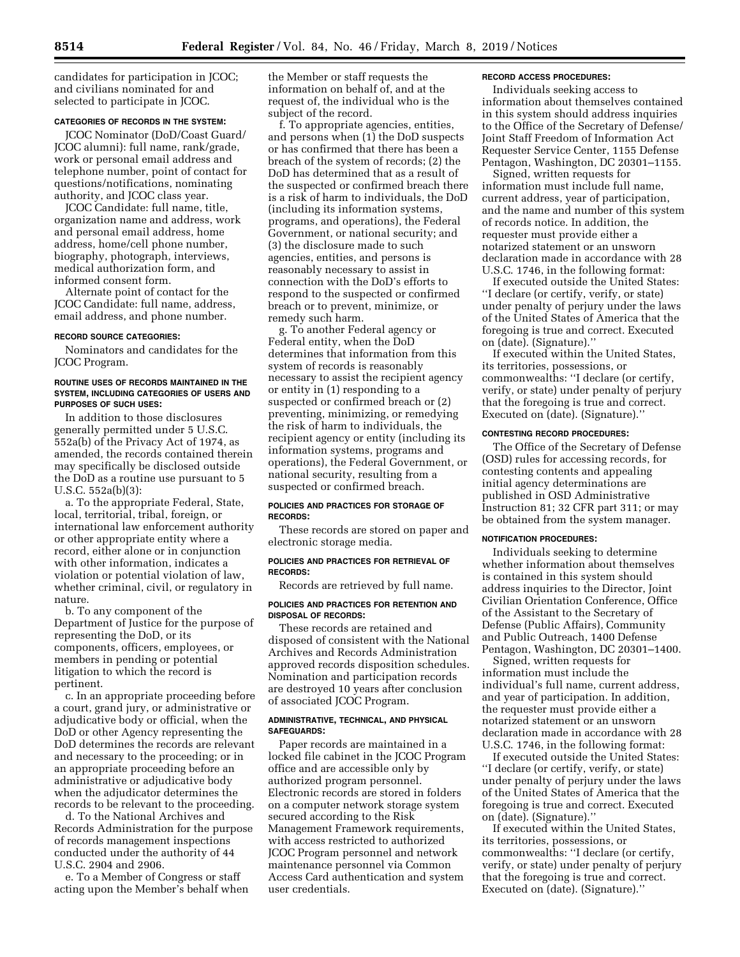candidates for participation in JCOC; and civilians nominated for and selected to participate in JCOC.

### **CATEGORIES OF RECORDS IN THE SYSTEM:**

JCOC Nominator (DoD/Coast Guard/ JCOC alumni): full name, rank/grade, work or personal email address and telephone number, point of contact for questions/notifications, nominating authority, and JCOC class year.

JCOC Candidate: full name, title, organization name and address, work and personal email address, home address, home/cell phone number, biography, photograph, interviews, medical authorization form, and informed consent form.

Alternate point of contact for the JCOC Candidate: full name, address, email address, and phone number.

### **RECORD SOURCE CATEGORIES:**

Nominators and candidates for the JCOC Program.

### **ROUTINE USES OF RECORDS MAINTAINED IN THE SYSTEM, INCLUDING CATEGORIES OF USERS AND PURPOSES OF SUCH USES:**

In addition to those disclosures generally permitted under 5 U.S.C. 552a(b) of the Privacy Act of 1974, as amended, the records contained therein may specifically be disclosed outside the DoD as a routine use pursuant to 5 U.S.C. 552a(b)(3):

a. To the appropriate Federal, State, local, territorial, tribal, foreign, or international law enforcement authority or other appropriate entity where a record, either alone or in conjunction with other information, indicates a violation or potential violation of law, whether criminal, civil, or regulatory in nature.

b. To any component of the Department of Justice for the purpose of representing the DoD, or its components, officers, employees, or members in pending or potential litigation to which the record is pertinent.

c. In an appropriate proceeding before a court, grand jury, or administrative or adjudicative body or official, when the DoD or other Agency representing the DoD determines the records are relevant and necessary to the proceeding; or in an appropriate proceeding before an administrative or adjudicative body when the adjudicator determines the records to be relevant to the proceeding.

d. To the National Archives and Records Administration for the purpose of records management inspections conducted under the authority of 44 U.S.C. 2904 and 2906.

e. To a Member of Congress or staff acting upon the Member's behalf when the Member or staff requests the information on behalf of, and at the request of, the individual who is the subject of the record.

f. To appropriate agencies, entities, and persons when (1) the DoD suspects or has confirmed that there has been a breach of the system of records; (2) the DoD has determined that as a result of the suspected or confirmed breach there is a risk of harm to individuals, the DoD (including its information systems, programs, and operations), the Federal Government, or national security; and (3) the disclosure made to such agencies, entities, and persons is reasonably necessary to assist in connection with the DoD's efforts to respond to the suspected or confirmed breach or to prevent, minimize, or remedy such harm.

g. To another Federal agency or Federal entity, when the DoD determines that information from this system of records is reasonably necessary to assist the recipient agency or entity in (1) responding to a suspected or confirmed breach or (2) preventing, minimizing, or remedying the risk of harm to individuals, the recipient agency or entity (including its information systems, programs and operations), the Federal Government, or national security, resulting from a suspected or confirmed breach.

### **POLICIES AND PRACTICES FOR STORAGE OF RECORDS:**

These records are stored on paper and electronic storage media.

### **POLICIES AND PRACTICES FOR RETRIEVAL OF RECORDS:**

Records are retrieved by full name.

### **POLICIES AND PRACTICES FOR RETENTION AND DISPOSAL OF RECORDS:**

These records are retained and disposed of consistent with the National Archives and Records Administration approved records disposition schedules. Nomination and participation records are destroyed 10 years after conclusion of associated JCOC Program.

### **ADMINISTRATIVE, TECHNICAL, AND PHYSICAL SAFEGUARDS:**

Paper records are maintained in a locked file cabinet in the JCOC Program office and are accessible only by authorized program personnel. Electronic records are stored in folders on a computer network storage system secured according to the Risk Management Framework requirements, with access restricted to authorized JCOC Program personnel and network maintenance personnel via Common Access Card authentication and system user credentials.

### **RECORD ACCESS PROCEDURES:**

Individuals seeking access to information about themselves contained in this system should address inquiries to the Office of the Secretary of Defense/ Joint Staff Freedom of Information Act Requester Service Center, 1155 Defense Pentagon, Washington, DC 20301–1155.

Signed, written requests for information must include full name, current address, year of participation, and the name and number of this system of records notice. In addition, the requester must provide either a notarized statement or an unsworn declaration made in accordance with 28 U.S.C. 1746, in the following format:

If executed outside the United States: ''I declare (or certify, verify, or state) under penalty of perjury under the laws of the United States of America that the foregoing is true and correct. Executed on (date). (Signature).''

If executed within the United States, its territories, possessions, or commonwealths: ''I declare (or certify, verify, or state) under penalty of perjury that the foregoing is true and correct. Executed on (date). (Signature).''

## **CONTESTING RECORD PROCEDURES:**

The Office of the Secretary of Defense (OSD) rules for accessing records, for contesting contents and appealing initial agency determinations are published in OSD Administrative Instruction 81; 32 CFR part 311; or may be obtained from the system manager.

## **NOTIFICATION PROCEDURES:**

Individuals seeking to determine whether information about themselves is contained in this system should address inquiries to the Director, Joint Civilian Orientation Conference, Office of the Assistant to the Secretary of Defense (Public Affairs), Community and Public Outreach, 1400 Defense Pentagon, Washington, DC 20301–1400.

Signed, written requests for information must include the individual's full name, current address, and year of participation. In addition, the requester must provide either a notarized statement or an unsworn declaration made in accordance with 28 U.S.C. 1746, in the following format:

If executed outside the United States: ''I declare (or certify, verify, or state) under penalty of perjury under the laws of the United States of America that the foregoing is true and correct. Executed on (date). (Signature).''

If executed within the United States, its territories, possessions, or commonwealths: ''I declare (or certify, verify, or state) under penalty of perjury that the foregoing is true and correct. Executed on (date). (Signature).''